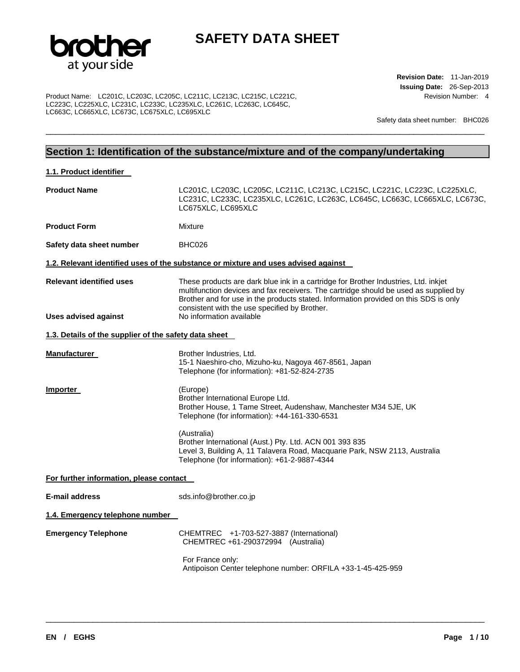

\_\_\_\_\_\_\_\_\_\_\_\_\_\_\_\_\_\_\_\_\_\_\_\_\_\_\_\_\_\_\_\_\_\_\_\_\_\_\_\_\_\_\_\_\_\_\_\_\_\_\_\_\_\_\_\_\_\_\_\_\_\_\_\_\_\_\_\_\_\_\_\_\_\_\_\_\_\_\_\_\_\_\_\_\_\_\_\_\_\_\_\_\_

Product Name: LC201C, LC203C, LC205C, LC211C, LC213C, LC215C, LC221C, LC223C, LC225XLC, LC231C, LC233C, LC235XLC, LC261C, LC263C, LC645C, LC663C, LC665XLC, LC673C, LC675XLC, LC695XLC

**Revision Date:** 11-Jan-2019 **Issuing Date:** 26-Sep-2013 Revision Number: 4

Safety data sheet number: BHC026

## **Section 1: Identification of the substance/mixture and of the company/undertaking**

| 1.1. Product identifier                               |                                                                                                                                                                                                                                                                                                                      |
|-------------------------------------------------------|----------------------------------------------------------------------------------------------------------------------------------------------------------------------------------------------------------------------------------------------------------------------------------------------------------------------|
| <b>Product Name</b>                                   | LC201C, LC203C, LC205C, LC211C, LC213C, LC215C, LC221C, LC223C, LC225XLC,<br>LC231C, LC233C, LC235XLC, LC261C, LC263C, LC645C, LC663C, LC665XLC, LC673C,<br>LC675XLC, LC695XLC                                                                                                                                       |
| <b>Product Form</b>                                   | Mixture                                                                                                                                                                                                                                                                                                              |
| Safety data sheet number                              | BHC026                                                                                                                                                                                                                                                                                                               |
|                                                       | 1.2. Relevant identified uses of the substance or mixture and uses advised against                                                                                                                                                                                                                                   |
| <b>Relevant identified uses</b>                       | These products are dark blue ink in a cartridge for Brother Industries, Ltd. inkjet<br>multifunction devices and fax receivers. The cartridge should be used as supplied by<br>Brother and for use in the products stated. Information provided on this SDS is only<br>consistent with the use specified by Brother. |
| <b>Uses advised against</b>                           | No information available                                                                                                                                                                                                                                                                                             |
| 1.3. Details of the supplier of the safety data sheet |                                                                                                                                                                                                                                                                                                                      |
| <b>Manufacturer</b>                                   | Brother Industries, Ltd.<br>15-1 Naeshiro-cho, Mizuho-ku, Nagoya 467-8561, Japan<br>Telephone (for information): +81-52-824-2735                                                                                                                                                                                     |
| Importer                                              | (Europe)<br>Brother International Europe Ltd.<br>Brother House, 1 Tame Street, Audenshaw, Manchester M34 5JE, UK<br>Telephone (for information): +44-161-330-6531                                                                                                                                                    |
|                                                       | (Australia)<br>Brother International (Aust.) Pty. Ltd. ACN 001 393 835<br>Level 3, Building A, 11 Talavera Road, Macquarie Park, NSW 2113, Australia<br>Telephone (for information): +61-2-9887-4344                                                                                                                 |
| For further information, please contact               |                                                                                                                                                                                                                                                                                                                      |
| <b>E-mail address</b>                                 | sds.info@brother.co.jp                                                                                                                                                                                                                                                                                               |
| 1.4. Emergency telephone number                       |                                                                                                                                                                                                                                                                                                                      |
| <b>Emergency Telephone</b>                            | CHEMTREC +1-703-527-3887 (International)<br>CHEMTREC +61-290372994 (Australia)                                                                                                                                                                                                                                       |
|                                                       | For France only:<br>Antipoison Center telephone number: ORFILA +33-1-45-425-959                                                                                                                                                                                                                                      |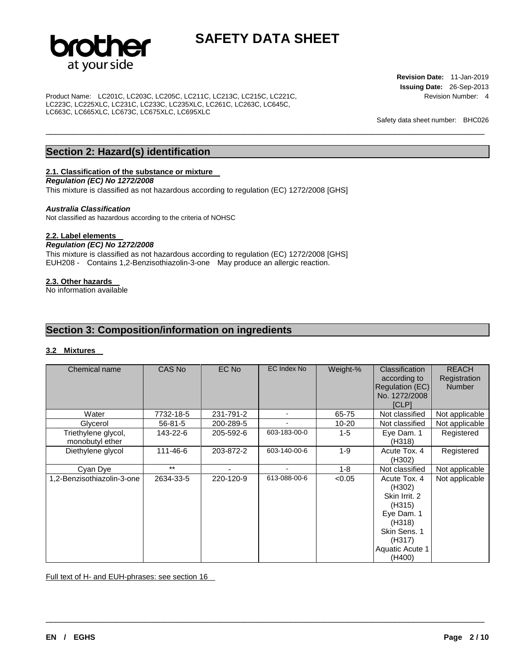

\_\_\_\_\_\_\_\_\_\_\_\_\_\_\_\_\_\_\_\_\_\_\_\_\_\_\_\_\_\_\_\_\_\_\_\_\_\_\_\_\_\_\_\_\_\_\_\_\_\_\_\_\_\_\_\_\_\_\_\_\_\_\_\_\_\_\_\_\_\_\_\_\_\_\_\_\_\_\_\_\_\_\_\_\_\_\_\_\_\_\_\_\_

Product Name: LC201C, LC203C, LC205C, LC211C, LC213C, LC215C, LC221C, LC223C, LC225XLC, LC231C, LC233C, LC235XLC, LC261C, LC263C, LC645C, LC663C, LC665XLC, LC673C, LC675XLC, LC695XLC

**Revision Date:** 11-Jan-2019 **Issuing Date:** 26-Sep-2013 Revision Number: 4

Safety data sheet number: BHC026

## **Section 2: Hazard(s) identification**

## **2.1. Classification of the substance or mixture**

*Regulation (EC) No 1272/2008* 

This mixture is classified as not hazardous according to regulation (EC) 1272/2008 [GHS]

### *Australia Classification*

Not classified as hazardous according to the criteria of NOHSC

## **2.2. Label elements**

## *Regulation (EC) No 1272/2008*

This mixture is classified as not hazardous according to regulation (EC) 1272/2008 [GHS] EUH208 - Contains 1,2-Benzisothiazolin-3-one May produce an allergic reaction.

## **2.3. Other hazards**

No information available

## **Section 3: Composition/information on ingredients**

## **3.2 Mixtures**

| Chemical name                          | CAS No        | EC No     | EC Index No  | Weight-%  | Classification<br>according to<br>Regulation (EC)<br>No. 1272/2008<br><b>[CLP]</b>                                               | <b>REACH</b><br>Registration<br><b>Number</b> |
|----------------------------------------|---------------|-----------|--------------|-----------|----------------------------------------------------------------------------------------------------------------------------------|-----------------------------------------------|
| Water                                  | 7732-18-5     | 231-791-2 |              | 65-75     | Not classified                                                                                                                   | Not applicable                                |
| Glycerol                               | $56 - 81 - 5$ | 200-289-5 |              | $10 - 20$ | Not classified                                                                                                                   | Not applicable                                |
| Triethylene glycol,<br>monobutyl ether | 143-22-6      | 205-592-6 | 603-183-00-0 | $1 - 5$   | Eye Dam. 1<br>(H318)                                                                                                             | Registered                                    |
| Diethylene glycol                      | 111-46-6      | 203-872-2 | 603-140-00-6 | $1 - 9$   | Acute Tox, 4<br>(H302)                                                                                                           | Registered                                    |
| Cyan Dye                               | $***$         |           |              | $1 - 8$   | Not classified                                                                                                                   | Not applicable                                |
| 1,2-Benzisothiazolin-3-one             | 2634-33-5     | 220-120-9 | 613-088-00-6 | < 0.05    | Acute Tox. 4<br>(H302)<br>Skin Irrit, 2<br>(H315)<br>Eye Dam. 1<br>(H318)<br>Skin Sens, 1<br>(H317)<br>Aquatic Acute 1<br>(H400) | Not applicable                                |

\_\_\_\_\_\_\_\_\_\_\_\_\_\_\_\_\_\_\_\_\_\_\_\_\_\_\_\_\_\_\_\_\_\_\_\_\_\_\_\_\_\_\_\_\_\_\_\_\_\_\_\_\_\_\_\_\_\_\_\_\_\_\_\_\_\_\_\_\_\_\_\_\_\_\_\_\_\_\_\_\_\_\_\_\_\_\_\_\_\_\_\_\_

Full text of H- and EUH-phrases: see section 16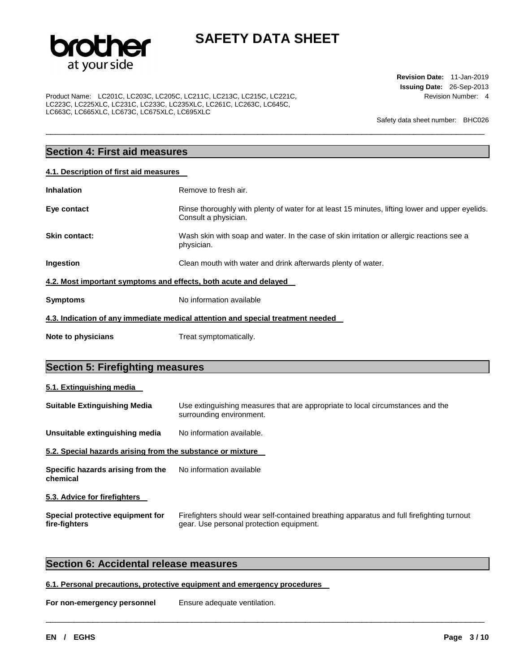

\_\_\_\_\_\_\_\_\_\_\_\_\_\_\_\_\_\_\_\_\_\_\_\_\_\_\_\_\_\_\_\_\_\_\_\_\_\_\_\_\_\_\_\_\_\_\_\_\_\_\_\_\_\_\_\_\_\_\_\_\_\_\_\_\_\_\_\_\_\_\_\_\_\_\_\_\_\_\_\_\_\_\_\_\_\_\_\_\_\_\_\_\_

Product Name: LC201C, LC203C, LC205C, LC211C, LC213C, LC215C, LC221C, LC223C, LC225XLC, LC231C, LC233C, LC235XLC, LC261C, LC263C, LC645C, LC663C, LC665XLC, LC673C, LC675XLC, LC695XLC

**Revision Date:** 11-Jan-2019 **Issuing Date:** 26-Sep-2013 Revision Number: 4

Safety data sheet number: BHC026

## **Section 4: First aid measures**

| 4.1. Description of first aid measures                           |                                                                                                                         |  |  |
|------------------------------------------------------------------|-------------------------------------------------------------------------------------------------------------------------|--|--|
| Inhalation                                                       | Remove to fresh air.                                                                                                    |  |  |
| Eye contact                                                      | Rinse thoroughly with plenty of water for at least 15 minutes, lifting lower and upper eyelids.<br>Consult a physician. |  |  |
| Skin contact:                                                    | Wash skin with soap and water. In the case of skin irritation or allergic reactions see a<br>physician.                 |  |  |
| Ingestion                                                        | Clean mouth with water and drink afterwards plenty of water.                                                            |  |  |
| 4.2. Most important symptoms and effects, both acute and delayed |                                                                                                                         |  |  |
| Symptoms                                                         | No information available                                                                                                |  |  |
|                                                                  | 4.3. Indication of any immediate medical attention and special treatment needed                                         |  |  |
| Note to physicians                                               | Treat symptomatically.                                                                                                  |  |  |

## **Section 5: Firefighting measures**

| 5.1. Extinguishing media                                   |                                                                                                            |
|------------------------------------------------------------|------------------------------------------------------------------------------------------------------------|
| <b>Suitable Extinguishing Media</b>                        | Use extinguishing measures that are appropriate to local circumstances and the<br>surrounding environment. |
| Unsuitable extinguishing media                             | No information available.                                                                                  |
| 5.2. Special hazards arising from the substance or mixture |                                                                                                            |
| Specific hazards arising from the<br>chemical              | No information available                                                                                   |
| 5.3. Advice for firefighters                               |                                                                                                            |
| Special protective equipment for                           | Firefighters should wear self-contained breathing apparatus and full firefighting turnout                  |

gear. Use personal protection equipment.

\_\_\_\_\_\_\_\_\_\_\_\_\_\_\_\_\_\_\_\_\_\_\_\_\_\_\_\_\_\_\_\_\_\_\_\_\_\_\_\_\_\_\_\_\_\_\_\_\_\_\_\_\_\_\_\_\_\_\_\_\_\_\_\_\_\_\_\_\_\_\_\_\_\_\_\_\_\_\_\_\_\_\_\_\_\_\_\_\_\_\_\_\_

## **Section 6: Accidental release measures**

## **6.1. Personal precautions, protective equipment and emergency procedures**

**For non-emergency personnel Ensure adequate ventilation.** 

**fire-fighters**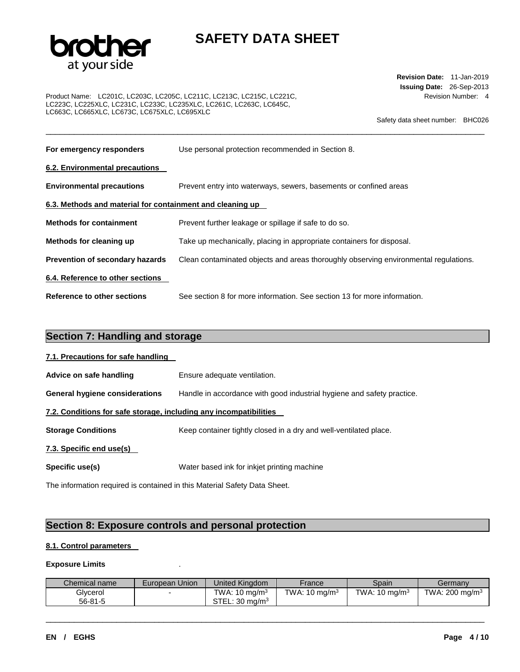

\_\_\_\_\_\_\_\_\_\_\_\_\_\_\_\_\_\_\_\_\_\_\_\_\_\_\_\_\_\_\_\_\_\_\_\_\_\_\_\_\_\_\_\_\_\_\_\_\_\_\_\_\_\_\_\_\_\_\_\_\_\_\_\_\_\_\_\_\_\_\_\_\_\_\_\_\_\_\_\_\_\_\_\_\_\_\_\_\_\_\_\_\_

Product Name: LC201C, LC203C, LC205C, LC211C, LC213C, LC215C, LC221C, LC223C, LC225XLC, LC231C, LC233C, LC235XLC, LC261C, LC263C, LC645C, LC663C, LC665XLC, LC673C, LC675XLC, LC695XLC

**Revision Date:** 11-Jan-2019 **Issuing Date:** 26-Sep-2013 Revision Number: 4

Safety data sheet number: BHC026

| For emergency responders                                  | Use personal protection recommended in Section 8.                                    |  |  |  |  |
|-----------------------------------------------------------|--------------------------------------------------------------------------------------|--|--|--|--|
| 6.2. Environmental precautions                            |                                                                                      |  |  |  |  |
| <b>Environmental precautions</b>                          | Prevent entry into waterways, sewers, basements or confined areas                    |  |  |  |  |
| 6.3. Methods and material for containment and cleaning up |                                                                                      |  |  |  |  |
| <b>Methods for containment</b>                            | Prevent further leakage or spillage if safe to do so.                                |  |  |  |  |
| Methods for cleaning up                                   | Take up mechanically, placing in appropriate containers for disposal.                |  |  |  |  |
| <b>Prevention of secondary hazards</b>                    | Clean contaminated objects and areas thoroughly observing environmental regulations. |  |  |  |  |
| 6.4. Reference to other sections                          |                                                                                      |  |  |  |  |
| <b>Reference to other sections</b>                        | See section 8 for more information. See section 13 for more information.             |  |  |  |  |

| <b>Section 7: Handling and storage</b>                            |                                                                        |  |  |  |  |
|-------------------------------------------------------------------|------------------------------------------------------------------------|--|--|--|--|
| 7.1. Precautions for safe handling                                |                                                                        |  |  |  |  |
| Advice on safe handling                                           | Ensure adequate ventilation.                                           |  |  |  |  |
| <b>General hygiene considerations</b>                             | Handle in accordance with good industrial hygiene and safety practice. |  |  |  |  |
| 7.2. Conditions for safe storage, including any incompatibilities |                                                                        |  |  |  |  |
| <b>Storage Conditions</b>                                         | Keep container tightly closed in a dry and well-ventilated place.      |  |  |  |  |
| 7.3. Specific end use(s)                                          |                                                                        |  |  |  |  |
| Specific use(s)                                                   | Water based ink for inkjet printing machine                            |  |  |  |  |
|                                                                   |                                                                        |  |  |  |  |

The information required is contained in this Material Safety Data Sheet.

## **Section 8: Exposure controls and personal protection**

## **8.1. Control parameters**

## **Exposure Limits** .

| Chemical name | European Union | United Kinadom            | France                   | Spain            | Germany                    |
|---------------|----------------|---------------------------|--------------------------|------------------|----------------------------|
| Glvcerol      |                | TWA: $10 \text{ mg/m}^3$  | TWA: $10 \text{ ma/m}^3$ | TWA: 10 mg/m $3$ | TWA: 200 mg/m <sup>3</sup> |
| 56-81-5       |                | STEL: $30 \text{ ma/m}^3$ |                          |                  |                            |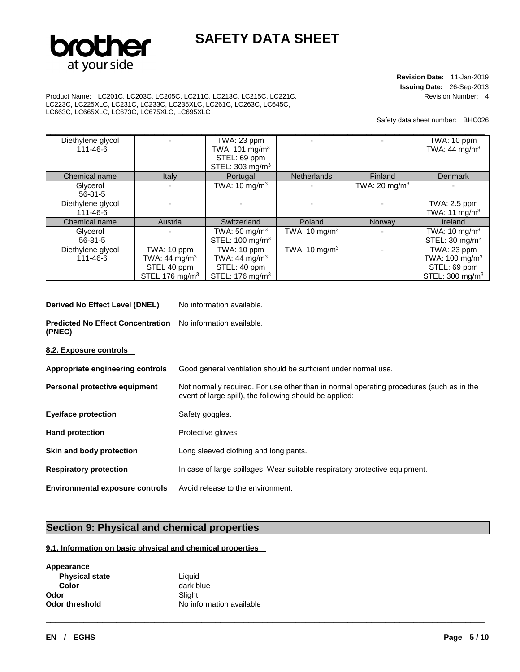

**Revision Date:** 11-Jan-2019 **Issuing Date:** 26-Sep-2013 Revision Number: 4

Product Name: LC201C, LC203C, LC205C, LC211C, LC213C, LC215C, LC221C, LC223C, LC225XLC, LC231C, LC233C, LC235XLC, LC261C, LC263C, LC645C, LC663C, LC665XLC, LC673C, LC675XLC, LC695XLC

Safety data sheet number: BHC026

| Diethylene glycol |                            | TWA: 23 ppm                 |                          |                           | TWA: 10 ppm                 |
|-------------------|----------------------------|-----------------------------|--------------------------|---------------------------|-----------------------------|
| 111-46-6          |                            | TWA: 101 mg/m <sup>3</sup>  |                          |                           | TWA: $44 \text{ mg/m}^3$    |
|                   |                            | STEL: 69 ppm                |                          |                           |                             |
|                   |                            | STEL: 303 mg/m <sup>3</sup> |                          |                           |                             |
| Chemical name     | Italy                      | Portugal                    | <b>Netherlands</b>       | Finland                   | Denmark                     |
| Glycerol          |                            | TWA: 10 mg/m <sup>3</sup>   |                          | TWA: 20 mg/m <sup>3</sup> |                             |
| $56 - 81 - 5$     |                            |                             |                          |                           |                             |
| Diethylene glycol |                            |                             |                          |                           | TWA: 2.5 ppm                |
| 111-46-6          |                            |                             |                          |                           | TWA: 11 mg/m <sup>3</sup>   |
| Chemical name     | Austria                    | Switzerland                 | Poland                   | Norway                    | Ireland                     |
| Glycerol          |                            | TWA: 50 mg/m <sup>3</sup>   | TWA: $10 \text{ mg/m}^3$ |                           | TWA: 10 mg/m <sup>3</sup>   |
| $56 - 81 - 5$     |                            | STEL: 100 mg/m <sup>3</sup> |                          |                           | STEL: 30 mg/m <sup>3</sup>  |
| Diethylene glycol | TWA: 10 ppm                | TWA: 10 ppm                 | TWA: $10 \text{ mg/m}^3$ |                           | TWA: 23 ppm                 |
| 111-46-6          | TWA: 44 mg/m <sup>3</sup>  | TWA: 44 mg/m <sup>3</sup>   |                          |                           | TWA: 100 mg/m <sup>3</sup>  |
|                   | STEL 40 ppm                | STEL: 40 ppm                |                          |                           | STEL: 69 ppm                |
|                   | STEL 176 mg/m <sup>3</sup> | STEL: 176 mg/m <sup>3</sup> |                          |                           | STEL: 300 mg/m <sup>3</sup> |

**Derived No Effect Level (DNEL)** No information available.

**Predicted No Effect Concentration**  No information available. **(PNEC)** 

**8.2. Exposure controls** 

| Appropriate engineering controls       | Good general ventilation should be sufficient under normal use.                                                                                     |  |  |
|----------------------------------------|-----------------------------------------------------------------------------------------------------------------------------------------------------|--|--|
| Personal protective equipment          | Not normally required. For use other than in normal operating procedures (such as in the<br>event of large spill), the following should be applied: |  |  |
| <b>Eye/face protection</b>             | Safety goggles.                                                                                                                                     |  |  |
| <b>Hand protection</b>                 | Protective gloves.                                                                                                                                  |  |  |
| Skin and body protection               | Long sleeved clothing and long pants.                                                                                                               |  |  |
| <b>Respiratory protection</b>          | In case of large spillages: Wear suitable respiratory protective equipment.                                                                         |  |  |
| <b>Environmental exposure controls</b> | Avoid release to the environment.                                                                                                                   |  |  |

\_\_\_\_\_\_\_\_\_\_\_\_\_\_\_\_\_\_\_\_\_\_\_\_\_\_\_\_\_\_\_\_\_\_\_\_\_\_\_\_\_\_\_\_\_\_\_\_\_\_\_\_\_\_\_\_\_\_\_\_\_\_\_\_\_\_\_\_\_\_\_\_\_\_\_\_\_\_\_\_\_\_\_\_\_\_\_\_\_\_\_\_\_

## **Section 9: Physical and chemical properties**

## **9.1. Information on basic physical and chemical properties**

| Appearance            |           |
|-----------------------|-----------|
| <b>Physical state</b> | Liquid    |
| Color                 | dark blue |
| Odor                  | Slight.   |
| <b>Odor threshold</b> | No inform |

formation available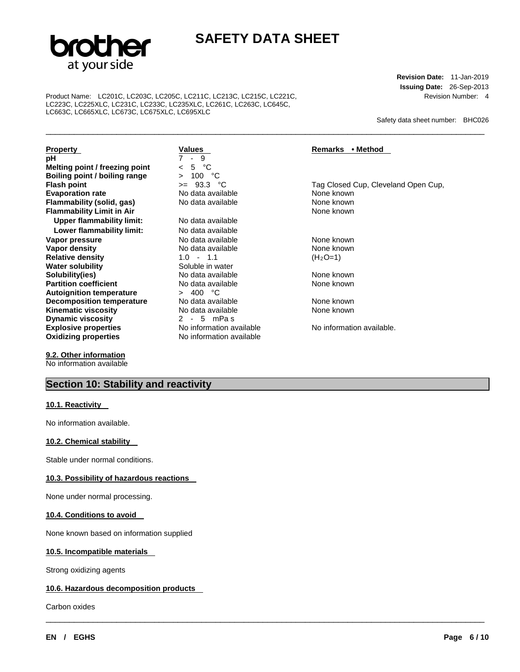

\_\_\_\_\_\_\_\_\_\_\_\_\_\_\_\_\_\_\_\_\_\_\_\_\_\_\_\_\_\_\_\_\_\_\_\_\_\_\_\_\_\_\_\_\_\_\_\_\_\_\_\_\_\_\_\_\_\_\_\_\_\_\_\_\_\_\_\_\_\_\_\_\_\_\_\_\_\_\_\_\_\_\_\_\_\_\_\_\_\_\_\_\_

\_\_\_\_\_\_\_\_\_\_\_\_\_\_\_\_\_\_\_\_\_\_\_\_\_\_\_\_\_\_\_\_\_\_\_\_\_\_\_\_\_\_\_\_\_\_\_\_\_\_\_\_\_\_\_\_\_\_\_\_\_\_\_\_\_\_\_\_\_\_\_\_\_\_\_\_\_\_\_\_\_\_\_\_\_\_\_\_\_\_\_\_\_

Product Name: LC201C, LC203C, LC205C, LC211C, LC213C, LC215C, LC221C, LC223C, LC225XLC, LC231C, LC233C, LC235XLC, LC261C, LC263C, LC645C, LC663C, LC665XLC, LC673C, LC675XLC, LC695XLC

**Revision Date:** 11-Jan-2019 **Issuing Date:** 26-Sep-2013 Revision Number: 4

Safety data sheet number: BHC026

**Property**<br> **Property**<br> **PREMARK PROPERTY PROPERTY**<br> **PREMARK PREMARK PROPERTY**<br> **PREMARK PREMARK PREMARK PREMARK PREMARK PREMARK PREMARK PREMARK PREMARK PREMARK PREMARK PREMARK PREMARK PREMARK PREMARK PREMARK PREMARK PREM pH** 7 - 9 **Melting point / freezing point**  $\leq 5$  **°C**<br>**Boiling point / boiling range**  $\geq 100$  **°C Boiling point / boiling range**  $\rightarrow$  100 °C<br>**Flash point**  $\rightarrow$  93.3 °C **Evaporation rate No data available None known**<br> **Elammability (solid. gas)** No data available **None known** None known **Flammability (solid, gas)** No data available None known **Flammability Limit in Air Upper flammability limit:** No data available Lower flammability limit: No data available **Vapor pressure** No data available None known **Relative density Water solubility Water solubility Soluble in water Solubility(ies)**<br> **Partition coefficient**<br> **Partition coefficient** 
No data available 
None known **Partition coefficient No data available None known Automobile Available None 200 °C Autoignition temperature Decomposition temperature** No data available None known **Kinematic viscosity**<br> **Dynamic viscosity**<br>
2 - 5 mPas **Dynamic viscosity**<br> **Explosive properties**<br> **Explosive properties**<br> **No** information available **Explosive properties No information available No information available.**<br> **Oxidizing properties No information available No information available Oxidizing properties** 

**9.2. Other information** No information available

## **Section 10: Stability and reactivity**

## **10.1. Reactivity**

No information available.

## **10.2. Chemical stability**

Stable under normal conditions.

## **10.3. Possibility of hazardous reactions**

None under normal processing.

#### **10.4. Conditions to avoid**

None known based on information supplied

### **10.5. Incompatible materials**

Strong oxidizing agents

## **10.6. Hazardous decomposition products**

Carbon oxides

**Vapor density in the UP data available None known None known None known None known None known None known None known None known None known None known None known None known None known None known None known None known None k** 

**FRASH POINT POINT POINT POINT AT A FIGURE CONTROL CONTROL CONTROL CONTROL CONTROL CONTROL CONTROL CONTROL CONTROL CONTROL CONTROL CONTROL CONTROL CONTROL CONTROL CONTROL CONTROL CONTROL CONTROL CONTROL CONTROL CONTROL CON**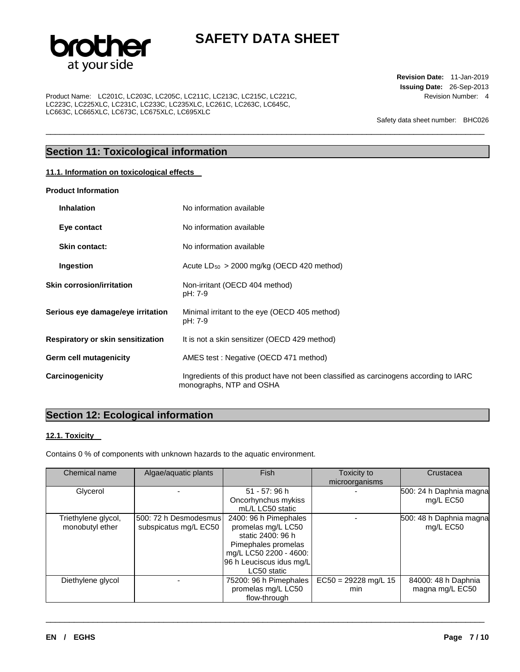

\_\_\_\_\_\_\_\_\_\_\_\_\_\_\_\_\_\_\_\_\_\_\_\_\_\_\_\_\_\_\_\_\_\_\_\_\_\_\_\_\_\_\_\_\_\_\_\_\_\_\_\_\_\_\_\_\_\_\_\_\_\_\_\_\_\_\_\_\_\_\_\_\_\_\_\_\_\_\_\_\_\_\_\_\_\_\_\_\_\_\_\_\_

Product Name: LC201C, LC203C, LC205C, LC211C, LC213C, LC215C, LC221C, LC223C, LC225XLC, LC231C, LC233C, LC235XLC, LC261C, LC263C, LC645C, LC663C, LC665XLC, LC673C, LC675XLC, LC695XLC

**Revision Date:** 11-Jan-2019 **Issuing Date:** 26-Sep-2013 Revision Number: 4

Safety data sheet number: BHC026

## **Section 11: Toxicological information**

## **11.1. Information on toxicological effects**

### **Product Information**

| <b>Inhalation</b>                 | No information available                                                                                          |
|-----------------------------------|-------------------------------------------------------------------------------------------------------------------|
| Eye contact                       | No information available                                                                                          |
| <b>Skin contact:</b>              | No information available                                                                                          |
| Ingestion                         | Acute $LD_{50} > 2000$ mg/kg (OECD 420 method)                                                                    |
| <b>Skin corrosion/irritation</b>  | Non-irritant (OECD 404 method)<br>pH: 7-9                                                                         |
| Serious eye damage/eye irritation | Minimal irritant to the eye (OECD 405 method)<br>pH: 7-9                                                          |
| Respiratory or skin sensitization | It is not a skin sensitizer (OECD 429 method)                                                                     |
| Germ cell mutagenicity            | AMES test: Negative (OECD 471 method)                                                                             |
| Carcinogenicity                   | Ingredients of this product have not been classified as carcinogens according to IARC<br>monographs, NTP and OSHA |

## **Section 12: Ecological information**

## **12.1. Toxicity**

Contains 0 % of components with unknown hazards to the aquatic environment.

| Chemical name       | Algae/aquatic plants  | <b>Fish</b>                             | Toxicity to<br>microorganisms | Crustacea               |
|---------------------|-----------------------|-----------------------------------------|-------------------------------|-------------------------|
| Glycerol            |                       | 51 - 57: 96 h                           |                               | 500: 24 h Daphnia magna |
|                     |                       | Oncorhynchus mykiss<br>mL/L LC50 static |                               | mg/L EC50               |
|                     |                       |                                         |                               |                         |
| Triethylene glycol, | 500: 72 h Desmodesmus | 2400: 96 h Pimephales                   |                               | 500: 48 h Daphnia magna |
| monobutyl ether     | subspicatus mg/L EC50 | promelas mg/L LC50                      |                               | mg/L EC50               |
|                     |                       | static 2400: 96 h                       |                               |                         |
|                     |                       | Pimephales promelas                     |                               |                         |
|                     |                       | mg/L LC50 2200 - 4600:                  |                               |                         |
|                     |                       | 96 h Leuciscus idus mg/L                |                               |                         |
|                     |                       | LC50 static                             |                               |                         |
| Diethylene glycol   |                       | 75200: 96 h Pimephales                  | $EC50 = 29228$ mg/L 15        | 84000: 48 h Daphnia     |
|                     |                       | promelas mg/L LC50                      | min                           | magna mg/L EC50         |
|                     |                       | flow-through                            |                               |                         |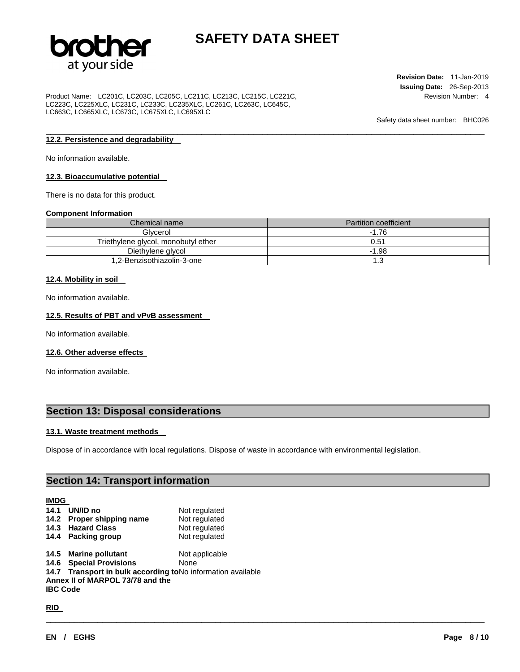

\_\_\_\_\_\_\_\_\_\_\_\_\_\_\_\_\_\_\_\_\_\_\_\_\_\_\_\_\_\_\_\_\_\_\_\_\_\_\_\_\_\_\_\_\_\_\_\_\_\_\_\_\_\_\_\_\_\_\_\_\_\_\_\_\_\_\_\_\_\_\_\_\_\_\_\_\_\_\_\_\_\_\_\_\_\_\_\_\_\_\_\_\_

Product Name: LC201C, LC203C, LC205C, LC211C, LC213C, LC215C, LC221C, LC223C, LC225XLC, LC231C, LC233C, LC235XLC, LC261C, LC263C, LC645C, LC663C, LC665XLC, LC673C, LC675XLC, LC695XLC

**Revision Date:** 11-Jan-2019 **Issuing Date:** 26-Sep-2013 Revision Number: 4

Safety data sheet number: BHC026

## **12.2. Persistence and degradability**

No information available.

#### **12.3. Bioaccumulative potential**

There is no data for this product.

#### **Component Information**

| Chemical name                       | <b>Partition coefficient</b> |
|-------------------------------------|------------------------------|
| Glycerol                            | $-1.76$                      |
| Triethylene glycol, monobutyl ether | 0.51                         |
| Diethylene glycol                   | $-1.98$                      |
| 1,2-Benzisothiazolin-3-one          |                              |

#### **12.4. Mobility in soil**

No information available.

#### **12.5. Results of PBT and vPvB assessment**

No information available.

#### **12.6. Other adverse effects**

No information available.

## **Section 13: Disposal considerations**

#### **13.1. Waste treatment methods**

Dispose of in accordance with local regulations. Dispose of waste in accordance with environmental legislation.

\_\_\_\_\_\_\_\_\_\_\_\_\_\_\_\_\_\_\_\_\_\_\_\_\_\_\_\_\_\_\_\_\_\_\_\_\_\_\_\_\_\_\_\_\_\_\_\_\_\_\_\_\_\_\_\_\_\_\_\_\_\_\_\_\_\_\_\_\_\_\_\_\_\_\_\_\_\_\_\_\_\_\_\_\_\_\_\_\_\_\_\_\_

## **Section 14: Transport information**

## **IMDG 14.1 UN/ID no** Not regulated **14.2 Proper shipping name** Not regulated **14.3 Hazard Class** Not regulated **14.4 Packing group Mot regulated 14.5 Marine pollutant** Not applicable **14.6 Special Provisions** None **14.7 Transport in bulk according to** No information available **Annex II of MARPOL 73/78 and the IBC Code**

**RID**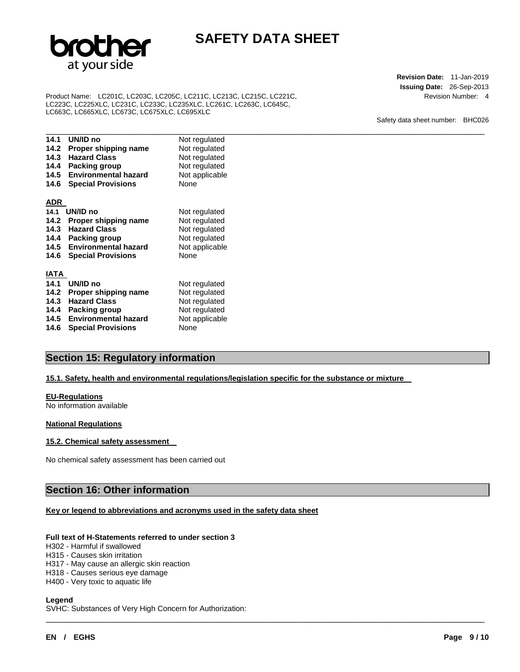

Product Name: LC201C, LC203C, LC205C, LC211C, LC213C, LC215C, LC221C, LC223C, LC225XLC, LC231C, LC233C, LC235XLC, LC261C, LC263C, LC645C, LC663C, LC665XLC, LC673C, LC675XLC, LC695XLC

**Revision Date:** 11-Jan-2019 **Issuing Date:** 26-Sep-2013 Revision Number: 4

Safety data sheet number: BHC026

| 14.1         | UN/ID no                       | Not regulated  |
|--------------|--------------------------------|----------------|
|              | 14.2 Proper shipping name      | Not regulated  |
| 14.3         | <b>Hazard Class</b>            | Not regulated  |
| 14.4         | Packing group                  | Not regulated  |
| 14.5         | <b>Environmental hazard</b>    | Not applicable |
|              | <b>14.6 Special Provisions</b> | None           |
|              |                                |                |
| <u>ADR</u>   |                                |                |
| 14.1         | UN/ID no                       | Not regulated  |
|              | 14.2 Proper shipping name      | Not regulated  |
|              | 14.3 Hazard Class              | Not regulated  |
| 14.4         | <b>Packing group</b>           | Not regulated  |
|              | 14.5 Environmental hazard      | Not applicable |
|              | <b>14.6 Special Provisions</b> | None           |
|              |                                |                |
| <u>IATA </u> |                                |                |
| 14.1         | UN/ID no                       | Not regulated  |
| 14.2         | Proper shipping name           | Not regulated  |
| 14.3         | <b>Hazard Class</b>            | Not regulated  |
| 14.4         | <b>Packing group</b>           | Not regulated  |
|              | 14.5 Environmental hazard      | Not applicable |
|              | <b>14.6 Special Provisions</b> | None           |

## **Section 15: Regulatory information**

## **15.1. Safety, health and environmental regulations/legislation specific for the substance or mixture**

\_\_\_\_\_\_\_\_\_\_\_\_\_\_\_\_\_\_\_\_\_\_\_\_\_\_\_\_\_\_\_\_\_\_\_\_\_\_\_\_\_\_\_\_\_\_\_\_\_\_\_\_\_\_\_\_\_\_\_\_\_\_\_\_\_\_\_\_\_\_\_\_\_\_\_\_\_\_\_\_\_\_\_\_\_\_\_\_\_\_\_\_\_

### **EU-Regulations**

No information available

### **National Regulations**

### **15.2. Chemical safety assessment**

No chemical safety assessment has been carried out

## **Section 16: Other information**

### **Key or legend to abbreviations and acronyms used in the safety data sheet**

#### **Full text of H-Statements referred to under section 3**

H302 - Harmful if swallowed

H315 - Causes skin irritation

H317 - May cause an allergic skin reaction

H318 - Causes serious eye damage

H400 - Very toxic to aquatic life

**Legend** 

SVHC: Substances of Very High Concern for Authorization: